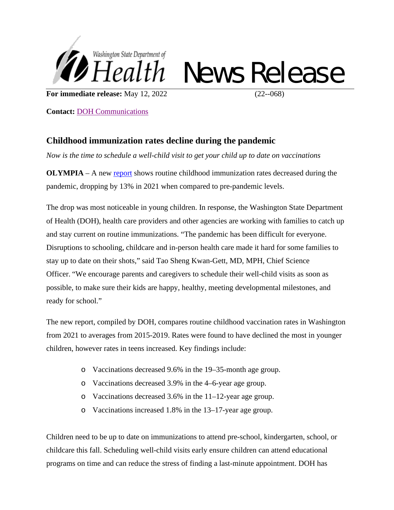

## News Release

**For immediate release:** May 12, 2022 (22--068)

**Contact:** [DOH Communications](mailto:doh-pio@doh.wa.gov)

## **Childhood immunization rates decline during the pandemic**

*Now is the time to schedule a well-child visit to get your child up to date on vaccinations* 

**OLYMPIA** – A new [report](https://doh.wa.gov/sites/default/files/2022-05/348-867-ChildhoodImmunizationReport2019-2021.pdf) shows routine childhood immunization rates decreased during the pandemic, dropping by 13% in 2021 when compared to pre-pandemic levels.

The drop was most noticeable in young children. In response, the Washington State Department of Health (DOH), health care providers and other agencies are working with families to catch up and stay current on routine immunizations. "The pandemic has been difficult for everyone. Disruptions to schooling, childcare and in-person health care made it hard for some families to stay up to date on their shots," said Tao Sheng Kwan-Gett, MD, MPH, Chief Science Officer. "We encourage parents and caregivers to schedule their well-child visits as soon as possible, to make sure their kids are happy, healthy, meeting developmental milestones, and ready for school."

The new report, compiled by DOH, compares routine childhood vaccination rates in Washington from 2021 to averages from 2015-2019. Rates were found to have declined the most in younger children, however rates in teens increased. Key findings include:

- o Vaccinations decreased 9.6% in the 19–35-month age group.
- o Vaccinations decreased 3.9% in the 4–6-year age group.
- o Vaccinations decreased 3.6% in the 11–12-year age group.
- o Vaccinations increased 1.8% in the 13–17-year age group.

Children need to be up to date on immunizations to attend pre-school, kindergarten, school, or childcare this fall. Scheduling well-child visits early ensure children can attend educational programs on time and can reduce the stress of finding a last-minute appointment. DOH has